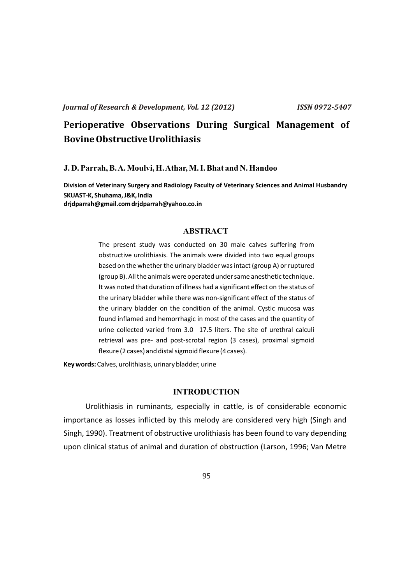# **Perioperative Observations During Surgical Management of Bovine Obstructive Urolithiasis**

#### **J. D. Parrah, B. A. Moulvi, H. Athar, M. I. Bhat and N. Handoo**

**Division of Veterinary Surgery and Radiology Faculty of Veterinary Sciences and Animal Husbandry SKUAST-K, Shuhama, J&K, India drjdparrah@gmail.com drjdparrah@yahoo.co.in**

# **ABSTRACT**

The present study was conducted on 30 male calves suffering from obstructive urolithiasis. The animals were divided into two equal groups based on the whether the urinary bladder was intact (group A) or ruptured (group B). All the animals were operated under same anesthetic technique. It was noted that duration of illness had a significant effect on the status of the urinary bladder while there was non-significant effect of the status of the urinary bladder on the condition of the animal. Cystic mucosa was found inflamed and hemorrhagic in most of the cases and the quantity of urine collected varied from 3.0 17.5 liters. The site of urethral calculi retrieval was pre- and post-scrotal region (3 cases), proximal sigmoid flexure (2 cases) and distal sigmoid flexure (4 cases).

**Key words:** Calves, urolithiasis, urinary bladder, urine

# **INTRODUCTION**

Urolithiasis in ruminants, especially in cattle, is of considerable economic importance as losses inflicted by this melody are considered very high (Singh and Singh, 1990). Treatment of obstructive urolithiasis has been found to vary depending upon clinical status of animal and duration of obstruction (Larson, 1996; Van Metre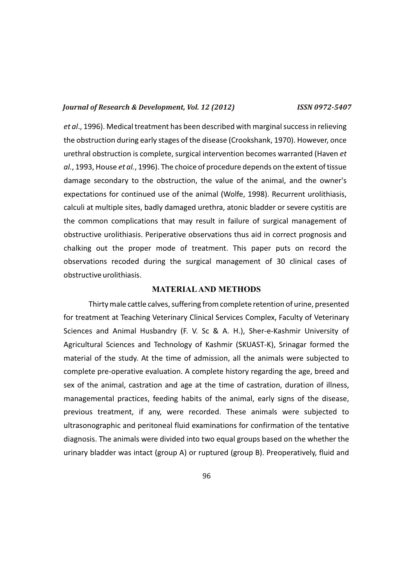*et al*., 1996). Medical treatment has been described with marginal success in relieving the obstruction during early stages of the disease (Crookshank, 1970). However, once urethral obstruction is complete, surgical intervention becomes warranted (Haven *et al.*, 1993, House *et al.*, 1996). The choice of procedure depends on the extent of tissue damage secondary to the obstruction, the value of the animal, and the owner's expectations for continued use of the animal (Wolfe, 1998). Recurrent urolithiasis, calculi at multiple sites, badly damaged urethra, atonic bladder or severe cystitis are the common complications that may result in failure of surgical management of obstructive urolithiasis. Periperative observations thus aid in correct prognosis and chalking out the proper mode of treatment. This paper puts on record the observations recoded during the surgical management of 30 clinical cases of obstructive urolithiasis.

#### **MATERIALAND METHODS**

Thirty male cattle calves, suffering from complete retention of urine, presented for treatment at Teaching Veterinary Clinical Services Complex, Faculty of Veterinary Sciences and Animal Husbandry (F. V. Sc & A. H.), Sher-e-Kashmir University of Agricultural Sciences and Technology of Kashmir (SKUAST-K), Srinagar formed the material of the study. At the time of admission, all the animals were subjected to complete pre-operative evaluation. A complete history regarding the age, breed and sex of the animal, castration and age at the time of castration, duration of illness, managemental practices, feeding habits of the animal, early signs of the disease, previous treatment, if any, were recorded. These animals were subjected to ultrasonographic and peritoneal fluid examinations for confirmation of the tentative diagnosis. The animals were divided into two equal groups based on the whether the urinary bladder was intact (group A) or ruptured (group B). Preoperatively, fluid and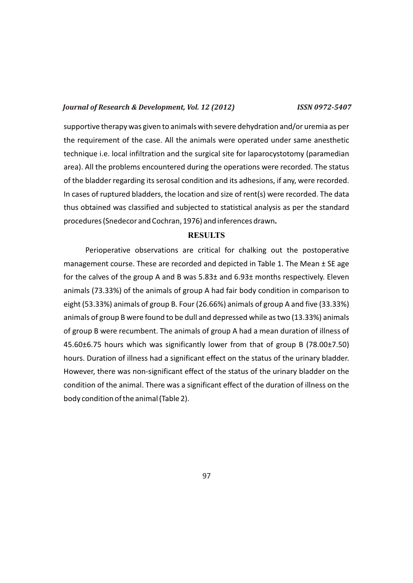supportive therapy was given to animals with severe dehydration and/or uremia as per the requirement of the case. All the animals were operated under same anesthetic technique i.e. local infiltration and the surgical site for laparocystotomy (paramedian area). All the problems encountered during the operations were recorded. The status of the bladder regarding its serosal condition and its adhesions, if any, were recorded. In cases of ruptured bladders, the location and size of rent(s) were recorded. The data thus obtained was classified and subjected to statistical analysis as per the standard procedures (Snedecor and Cochran, 1976) and inferences drawn**.**

#### **RESULTS**

Perioperative observations are critical for chalking out the postoperative management course. These are recorded and depicted in Table 1. The Mean ± SE age for the calves of the group A and B was 5.83± and 6.93± months respectively. Eleven animals (73.33%) of the animals of group A had fair body condition in comparison to eight (53.33%) animals of group B. Four (26.66%) animals of group A and five (33.33%) animals of group B were found to be dull and depressed while as two (13.33%) animals of group B were recumbent. The animals of group A had a mean duration of illness of 45.60±6.75 hours which was significantly lower from that of group B (78.00±7.50) hours. Duration of illness had a significant effect on the status of the urinary bladder. However, there was non-significant effect of the status of the urinary bladder on the condition of the animal. There was a significant effect of the duration of illness on the body condition of the animal (Table 2).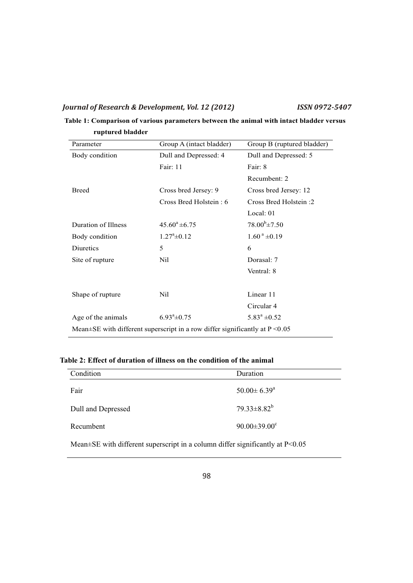# **Table 1: Comparison of various parameters between the animal with intact bladder versus ruptured bladder**

| Parameter                                                                          | Group A (intact bladder)   | Group B (ruptured bladder) |  |
|------------------------------------------------------------------------------------|----------------------------|----------------------------|--|
| Body condition                                                                     | Dull and Depressed: 4      | Dull and Depressed: 5      |  |
|                                                                                    | Fair: 11                   | Fair: 8                    |  |
|                                                                                    |                            | Recumbent: 2               |  |
| <b>Breed</b>                                                                       | Cross bred Jersey: 9       | Cross bred Jersey: 12      |  |
|                                                                                    | Cross Bred Holstein: 6     | Cross Bred Holstein:2      |  |
|                                                                                    |                            | Local: 01                  |  |
| Duration of Illness                                                                | $45.60^a \pm 6.75$         | $78.00^{b} \pm 7.50$       |  |
| Body condition                                                                     | $1.27^{\circ}$ ±0.12       | $1.60^{\text{ a}}\pm0.19$  |  |
| Diuretics                                                                          | 5                          | 6                          |  |
| Site of rupture                                                                    | Nil.                       | Dorasal: 7                 |  |
|                                                                                    |                            | Ventral: 8                 |  |
|                                                                                    |                            |                            |  |
| Shape of rupture                                                                   | Nil                        | Linear 11                  |  |
|                                                                                    |                            | Circular 4                 |  |
| Age of the animals                                                                 | $6.93^{\mathrm{a}}\pm0.75$ | $5.83^a \pm 0.52$          |  |
| Mean $\pm$ SE with different superscript in a row differ significantly at P < 0.05 |                            |                            |  |
|                                                                                    |                            |                            |  |

# **Table 2: Effect of duration of illness on the condition of the animal**

| Condition          | Duration                    |
|--------------------|-----------------------------|
| Fair               | $50.00 \pm 6.39^{\text{a}}$ |
| Dull and Depressed | $79.33 \pm 8.82^b$          |
| Recumbent          | $90.00 \pm 39.00^{\circ}$   |

Mean±SE with different superscript in a column differ significantly at P<0.05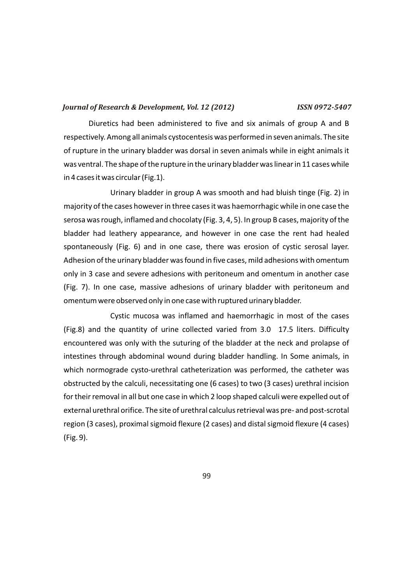Diuretics had been administered to five and six animals of group A and B respectively. Among all animals cystocentesis was performed in seven animals. The site of rupture in the urinary bladder was dorsal in seven animals while in eight animals it was ventral. The shape of the rupture in the urinary bladder was linear in 11 cases while in 4 cases it was circular (Fig.1).

Urinary bladder in group A was smooth and had bluish tinge (Fig. 2) in majority of the cases however in three cases it was haemorrhagic while in one case the serosa was rough, inflamed and chocolaty (Fig. 3, 4, 5). In group B cases, majority of the bladder had leathery appearance, and however in one case the rent had healed spontaneously (Fig. 6) and in one case, there was erosion of cystic serosal layer. Adhesion of the urinary bladder was found in five cases, mild adhesions with omentum only in 3 case and severe adhesions with peritoneum and omentum in another case (Fig. 7). In one case, massive adhesions of urinary bladder with peritoneum and omentum were observed only in one case with ruptured urinary bladder.

Cystic mucosa was inflamed and haemorrhagic in most of the cases (Fig.8) and the quantity of urine collected varied from 3.0 17.5 liters. Difficulty encountered was only with the suturing of the bladder at the neck and prolapse of intestines through abdominal wound during bladder handling. In Some animals, in which normograde cysto-urethral catheterization was performed, the catheter was obstructed by the calculi, necessitating one (6 cases) to two (3 cases) urethral incision for their removal in all but one case in which 2 loop shaped calculi were expelled out of external urethral orifice. The site of urethral calculus retrieval was pre- and post-scrotal region (3 cases), proximal sigmoid flexure (2 cases) and distal sigmoid flexure (4 cases) (Fig. 9).

99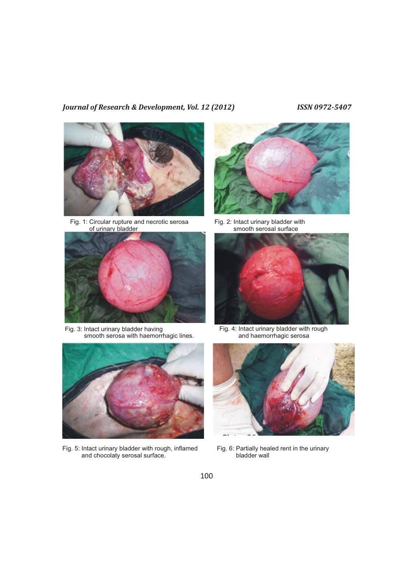

Fig. 1: Circular rupture and necrotic serosa of urinary bladder



Fig. 3: Intact urinary bladder having smooth serosa with haemorrhagic lines.



Fig. 5: Intact urinary bladder with rough, inflamed and chocolaty serosal surface.



Fig. 2: Intact urinary bladder with smooth serosal surface



Fig. 4: Intact urinary bladder with rough and haemorrhagic serosa



Fig. 6: Partially healed rent in the urinary bladder wall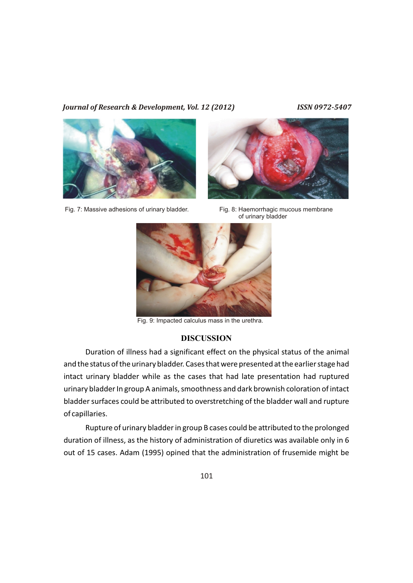

Fig. 7: Massive adhesions of urinary bladder. Fig. 8: Haemorrhagic mucous membrane



of urinary bladder



Fig. 9: Impacted calculus mass in the urethra.

### **DISCUSSION**

Duration of illness had a significant effect on the physical status of the animal and the status of the urinary bladder. Cases that were presented at the earlier stage had intact urinary bladder while as the cases that had late presentation had ruptured urinary bladder In group A animals, smoothness and dark brownish coloration of intact bladder surfaces could be attributed to overstretching of the bladder wall and rupture of capillaries.

Rupture of urinary bladder in group B cases could be attributed to the prolonged duration of illness, as the history of administration of diuretics was available only in 6 out of 15 cases. Adam (1995) opined that the administration of frusemide might be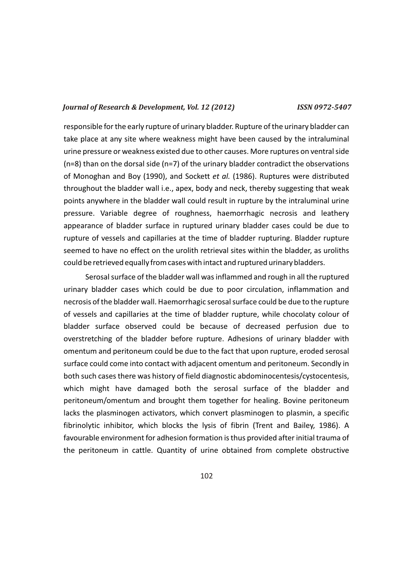responsible for the early rupture of urinary bladder. Rupture of the urinary bladder can take place at any site where weakness might have been caused by the intraluminal urine pressure or weakness existed due to other causes. More ruptures on ventral side (n=8) than on the dorsal side (n=7) of the urinary bladder contradict the observations of Monoghan and Boy (1990), and Sockett *et al.* (1986). Ruptures were distributed throughout the bladder wall i.e., apex, body and neck, thereby suggesting that weak points anywhere in the bladder wall could result in rupture by the intraluminal urine pressure. Variable degree of roughness, haemorrhagic necrosis and leathery appearance of bladder surface in ruptured urinary bladder cases could be due to rupture of vessels and capillaries at the time of bladder rupturing. Bladder rupture seemed to have no effect on the urolith retrieval sites within the bladder, as uroliths could be retrieved equally from cases with intact and ruptured urinary bladders.

Serosal surface of the bladder wall was inflammed and rough in all the ruptured urinary bladder cases which could be due to poor circulation, inflammation and necrosis of the bladder wall. Haemorrhagic serosal surface could be due to the rupture of vessels and capillaries at the time of bladder rupture, while chocolaty colour of bladder surface observed could be because of decreased perfusion due to overstretching of the bladder before rupture. Adhesions of urinary bladder with omentum and peritoneum could be due to the fact that upon rupture, eroded serosal surface could come into contact with adjacent omentum and peritoneum. Secondly in both such cases there was history of field diagnostic abdominocentesis/cystocentesis, which might have damaged both the serosal surface of the bladder and peritoneum/omentum and brought them together for healing. Bovine peritoneum lacks the plasminogen activators, which convert plasminogen to plasmin, a specific fibrinolytic inhibitor, which blocks the lysis of fibrin (Trent and Bailey, 1986). A favourable environment for adhesion formation is thus provided after initial trauma of the peritoneum in cattle. Quantity of urine obtained from complete obstructive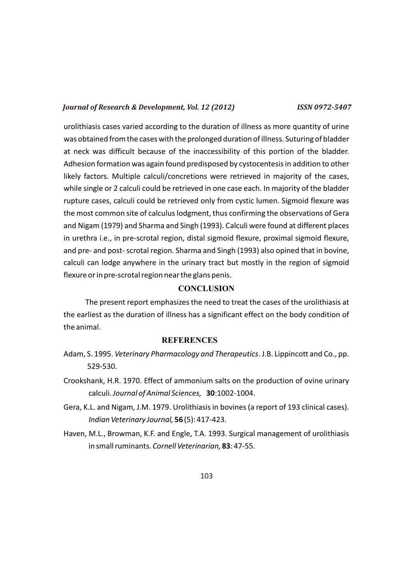urolithiasis cases varied according to the duration of illness as more quantity of urine was obtained from the cases with the prolonged duration of illness. Suturing of bladder at neck was difficult because of the inaccessibility of this portion of the bladder. Adhesion formation was again found predisposed by cystocentesis in addition to other likely factors. Multiple calculi/concretions were retrieved in majority of the cases, while single or 2 calculi could be retrieved in one case each. In majority of the bladder rupture cases, calculi could be retrieved only from cystic lumen. Sigmoid flexure was the most common site of calculus lodgment, thus confirming the observations of Gera and Nigam (1979) and Sharma and Singh (1993). Calculi were found at different places in urethra i.e., in pre-scrotal region, distal sigmoid flexure, proximal sigmoid flexure, and pre- and post- scrotal region. Sharma and Singh (1993) also opined that in bovine, calculi can lodge anywhere in the urinary tract but mostly in the region of sigmoid flexure or in pre-scrotal region near the glans penis.

# **CONCLUSION**

The present report emphasizes the need to treat the cases of the urolithiasis at the earliest as the duration of illness has a significant effect on the body condition of the animal.

### **REFERENCES**

- Adam, S. 1995. *Veterinary Pharmacology and Therapeutics*. J.B. Lippincott and Co., pp. 529-530.
- Crookshank, H.R. 1970. Effect of ammonium salts on the production of ovine urinary calculi. *Journal of Animal Sciences,* **30**:1002-1004.
- Gera, K.L. and Nigam, J.M. 1979. Urolithiasis in bovines (a report of 193 clinical cases). *Indian Veterinary Journal,* **56** (5): 417-423.
- Haven, M.L., Browman, K.F. and Engle, T.A. 1993. Surgical management of urolithiasis in small ruminants. *Cornell Veterinarian,* **83**: 47-55.